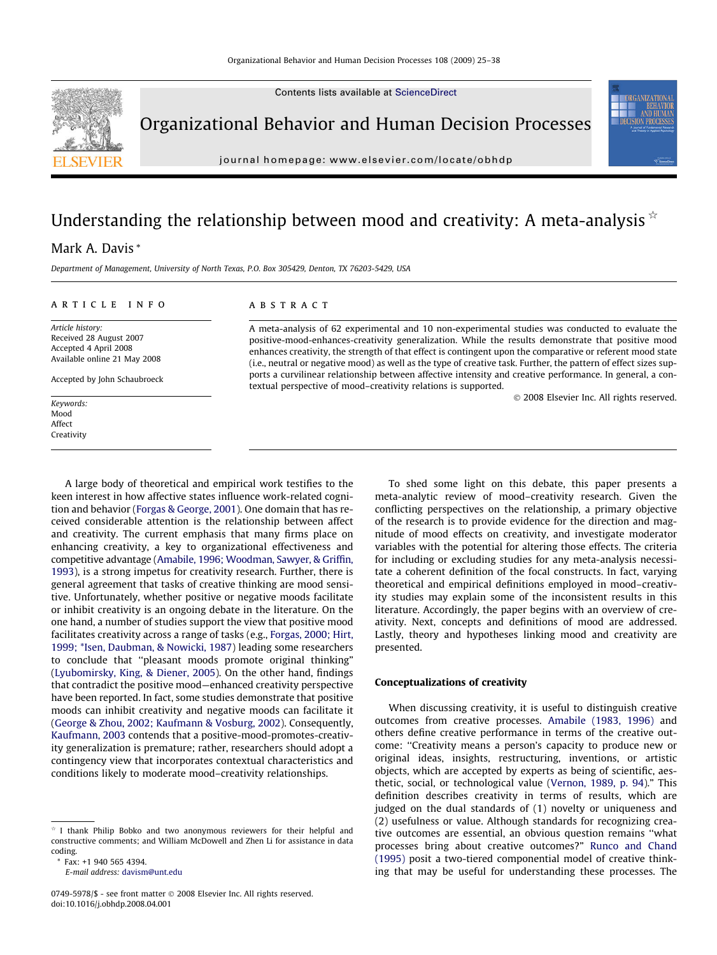Contents lists available at [ScienceDirect](http://www.sciencedirect.com/science/journal/07495978)



Organizational Behavior and Human Decision Processes

journal homepage: [www.elsevier.com/locate/obhdp](http://www.elsevier.com/locate/obhdp)

## Understanding the relationship between mood and creativity: A meta-analysis  $\dot{\alpha}$

### Mark A. Davis \*

Department of Management, University of North Texas, P.O. Box 305429, Denton, TX 76203-5429, USA

#### article info

Article history: Received 28 August 2007 Accepted 4 April 2008 Available online 21 May 2008

Accepted by John Schaubroeck

Keywords: Mood Affect Creativity

#### ABSTRACT

A meta-analysis of 62 experimental and 10 non-experimental studies was conducted to evaluate the positive-mood-enhances-creativity generalization. While the results demonstrate that positive mood enhances creativity, the strength of that effect is contingent upon the comparative or referent mood state (i.e., neutral or negative mood) as well as the type of creative task. Further, the pattern of effect sizes supports a curvilinear relationship between affective intensity and creative performance. In general, a contextual perspective of mood–creativity relations is supported.

- 2008 Elsevier Inc. All rights reserved.

A large body of theoretical and empirical work testifies to the keen interest in how affective states influence work-related cognition and behavior [\(Forgas & George, 2001](#page--1-0)). One domain that has received considerable attention is the relationship between affect and creativity. The current emphasis that many firms place on enhancing creativity, a key to organizational effectiveness and competitive advantage ([Amabile, 1996; Woodman, Sawyer, & Griffin,](#page--1-0) [1993\)](#page--1-0), is a strong impetus for creativity research. Further, there is general agreement that tasks of creative thinking are mood sensitive. Unfortunately, whether positive or negative moods facilitate or inhibit creativity is an ongoing debate in the literature. On the one hand, a number of studies support the view that positive mood facilitates creativity across a range of tasks (e.g., [Forgas, 2000; Hirt,](#page--1-0) [1999; \\*Isen, Daubman, & Nowicki, 1987\)](#page--1-0) leading some researchers to conclude that ''pleasant moods promote original thinking" ([Lyubomirsky, King, & Diener, 2005](#page--1-0)). On the other hand, findings that contradict the positive mood—enhanced creativity perspective have been reported. In fact, some studies demonstrate that positive moods can inhibit creativity and negative moods can facilitate it ([George & Zhou, 2002; Kaufmann & Vosburg, 2002](#page--1-0)). Consequently, [Kaufmann, 2003](#page--1-0) contends that a positive-mood-promotes-creativity generalization is premature; rather, researchers should adopt a contingency view that incorporates contextual characteristics and conditions likely to moderate mood–creativity relationships.

To shed some light on this debate, this paper presents a meta-analytic review of mood–creativity research. Given the conflicting perspectives on the relationship, a primary objective of the research is to provide evidence for the direction and magnitude of mood effects on creativity, and investigate moderator variables with the potential for altering those effects. The criteria for including or excluding studies for any meta-analysis necessitate a coherent definition of the focal constructs. In fact, varying theoretical and empirical definitions employed in mood–creativity studies may explain some of the inconsistent results in this literature. Accordingly, the paper begins with an overview of creativity. Next, concepts and definitions of mood are addressed. Lastly, theory and hypotheses linking mood and creativity are presented.

#### Conceptualizations of creativity

When discussing creativity, it is useful to distinguish creative outcomes from creative processes. [Amabile \(1983, 1996\)](#page--1-0) and others define creative performance in terms of the creative outcome: ''Creativity means a person's capacity to produce new or original ideas, insights, restructuring, inventions, or artistic objects, which are accepted by experts as being of scientific, aesthetic, social, or technological value ([Vernon, 1989, p. 94\)](#page--1-0)." This definition describes creativity in terms of results, which are judged on the dual standards of (1) novelty or uniqueness and (2) usefulness or value. Although standards for recognizing creative outcomes are essential, an obvious question remains ''what processes bring about creative outcomes?" [Runco and Chand](#page--1-0) [\(1995\)](#page--1-0) posit a two-tiered componential model of creative thinking that may be useful for understanding these processes. The

 $*$  I thank Philip Bobko and two anonymous reviewers for their helpful and constructive comments; and William McDowell and Zhen Li for assistance in data coding.

<sup>\*</sup> Fax: +1 940 565 4394.

E-mail address: [davism@unt.edu](mailto:davism@unt.edu)

<sup>0749-5978/\$ -</sup> see front matter © 2008 Elsevier Inc. All rights reserved. doi:10.1016/j.obhdp.2008.04.001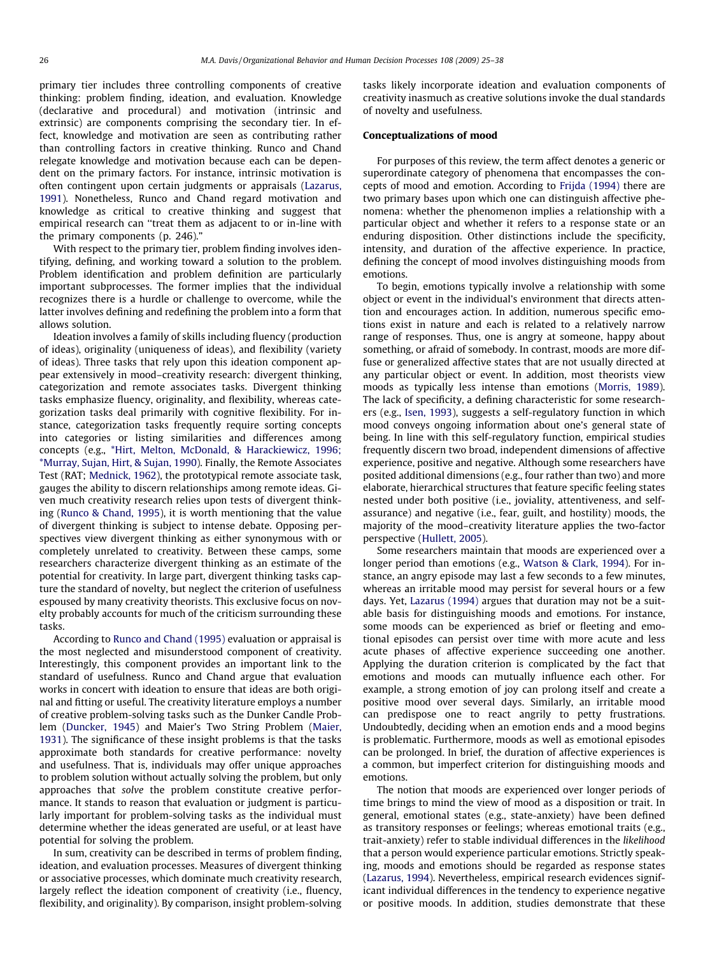primary tier includes three controlling components of creative thinking: problem finding, ideation, and evaluation. Knowledge (declarative and procedural) and motivation (intrinsic and extrinsic) are components comprising the secondary tier. In effect, knowledge and motivation are seen as contributing rather than controlling factors in creative thinking. Runco and Chand relegate knowledge and motivation because each can be dependent on the primary factors. For instance, intrinsic motivation is often contingent upon certain judgments or appraisals [\(Lazarus,](#page--1-0) [1991\)](#page--1-0). Nonetheless, Runco and Chand regard motivation and knowledge as critical to creative thinking and suggest that empirical research can ''treat them as adjacent to or in-line with the primary components (p. 246)."

With respect to the primary tier, problem finding involves identifying, defining, and working toward a solution to the problem. Problem identification and problem definition are particularly important subprocesses. The former implies that the individual recognizes there is a hurdle or challenge to overcome, while the latter involves defining and redefining the problem into a form that allows solution.

Ideation involves a family of skills including fluency (production of ideas), originality (uniqueness of ideas), and flexibility (variety of ideas). Three tasks that rely upon this ideation component appear extensively in mood–creativity research: divergent thinking, categorization and remote associates tasks. Divergent thinking tasks emphasize fluency, originality, and flexibility, whereas categorization tasks deal primarily with cognitive flexibility. For instance, categorization tasks frequently require sorting concepts into categories or listing similarities and differences among concepts (e.g., [\\*Hirt, Melton, McDonald, & Harackiewicz, 1996;](#page--1-0) [\\*Murray, Sujan, Hirt, & Sujan, 1990](#page--1-0)). Finally, the Remote Associates Test (RAT; [Mednick, 1962\)](#page--1-0), the prototypical remote associate task, gauges the ability to discern relationships among remote ideas. Given much creativity research relies upon tests of divergent thinking [\(Runco & Chand, 1995\)](#page--1-0), it is worth mentioning that the value of divergent thinking is subject to intense debate. Opposing perspectives view divergent thinking as either synonymous with or completely unrelated to creativity. Between these camps, some researchers characterize divergent thinking as an estimate of the potential for creativity. In large part, divergent thinking tasks capture the standard of novelty, but neglect the criterion of usefulness espoused by many creativity theorists. This exclusive focus on novelty probably accounts for much of the criticism surrounding these tasks.

According to [Runco and Chand \(1995\)](#page--1-0) evaluation or appraisal is the most neglected and misunderstood component of creativity. Interestingly, this component provides an important link to the standard of usefulness. Runco and Chand argue that evaluation works in concert with ideation to ensure that ideas are both original and fitting or useful. The creativity literature employs a number of creative problem-solving tasks such as the Dunker Candle Problem [\(Duncker, 1945\)](#page--1-0) and Maier's Two String Problem ([Maier,](#page--1-0) [1931\)](#page--1-0). The significance of these insight problems is that the tasks approximate both standards for creative performance: novelty and usefulness. That is, individuals may offer unique approaches to problem solution without actually solving the problem, but only approaches that solve the problem constitute creative performance. It stands to reason that evaluation or judgment is particularly important for problem-solving tasks as the individual must determine whether the ideas generated are useful, or at least have potential for solving the problem.

In sum, creativity can be described in terms of problem finding, ideation, and evaluation processes. Measures of divergent thinking or associative processes, which dominate much creativity research, largely reflect the ideation component of creativity (i.e., fluency, flexibility, and originality). By comparison, insight problem-solving tasks likely incorporate ideation and evaluation components of creativity inasmuch as creative solutions invoke the dual standards of novelty and usefulness.

#### Conceptualizations of mood

For purposes of this review, the term affect denotes a generic or superordinate category of phenomena that encompasses the concepts of mood and emotion. According to [Frijda \(1994\)](#page--1-0) there are two primary bases upon which one can distinguish affective phenomena: whether the phenomenon implies a relationship with a particular object and whether it refers to a response state or an enduring disposition. Other distinctions include the specificity, intensity, and duration of the affective experience. In practice, defining the concept of mood involves distinguishing moods from emotions.

To begin, emotions typically involve a relationship with some object or event in the individual's environment that directs attention and encourages action. In addition, numerous specific emotions exist in nature and each is related to a relatively narrow range of responses. Thus, one is angry at someone, happy about something, or afraid of somebody. In contrast, moods are more diffuse or generalized affective states that are not usually directed at any particular object or event. In addition, most theorists view moods as typically less intense than emotions [\(Morris, 1989\)](#page--1-0). The lack of specificity, a defining characteristic for some researchers (e.g., [Isen, 1993\)](#page--1-0), suggests a self-regulatory function in which mood conveys ongoing information about one's general state of being. In line with this self-regulatory function, empirical studies frequently discern two broad, independent dimensions of affective experience, positive and negative. Although some researchers have posited additional dimensions (e.g., four rather than two) and more elaborate, hierarchical structures that feature specific feeling states nested under both positive (i.e., joviality, attentiveness, and selfassurance) and negative (i.e., fear, guilt, and hostility) moods, the majority of the mood–creativity literature applies the two-factor perspective ([Hullett, 2005\)](#page--1-0).

Some researchers maintain that moods are experienced over a longer period than emotions (e.g., [Watson & Clark, 1994](#page--1-0)). For instance, an angry episode may last a few seconds to a few minutes, whereas an irritable mood may persist for several hours or a few days. Yet, [Lazarus \(1994\)](#page--1-0) argues that duration may not be a suitable basis for distinguishing moods and emotions. For instance, some moods can be experienced as brief or fleeting and emotional episodes can persist over time with more acute and less acute phases of affective experience succeeding one another. Applying the duration criterion is complicated by the fact that emotions and moods can mutually influence each other. For example, a strong emotion of joy can prolong itself and create a positive mood over several days. Similarly, an irritable mood can predispose one to react angrily to petty frustrations. Undoubtedly, deciding when an emotion ends and a mood begins is problematic. Furthermore, moods as well as emotional episodes can be prolonged. In brief, the duration of affective experiences is a common, but imperfect criterion for distinguishing moods and emotions.

The notion that moods are experienced over longer periods of time brings to mind the view of mood as a disposition or trait. In general, emotional states (e.g., state-anxiety) have been defined as transitory responses or feelings; whereas emotional traits (e.g., trait-anxiety) refer to stable individual differences in the likelihood that a person would experience particular emotions. Strictly speaking, moods and emotions should be regarded as response states ([Lazarus, 1994\)](#page--1-0). Nevertheless, empirical research evidences significant individual differences in the tendency to experience negative or positive moods. In addition, studies demonstrate that these